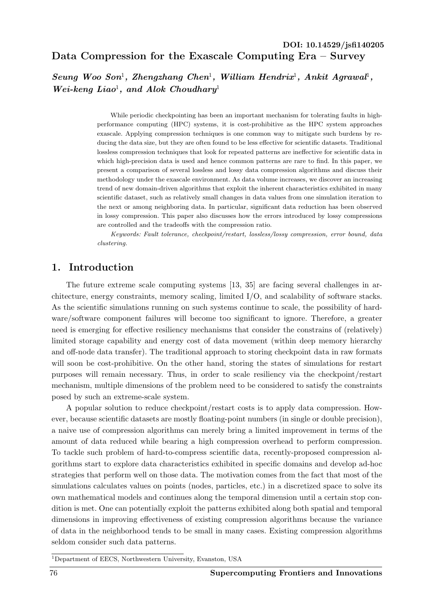# Data Compression for the Exascale Computing Era – Survey DOI: 10.14529/jsfi140205

 $Seung\ \textit{Woo Son}^1$ , Zhengzhang Chen<sup>1</sup>, William Hendrix<sup>1</sup>, Ankit Agrawal<sup>1</sup>, Wei-keng Liao<sup>1</sup>, and Alok Choudhary<sup>1</sup>

> While periodic checkpointing has been an important mechanism for tolerating faults in highperformance computing (HPC) systems, it is cost-prohibitive as the HPC system approaches exascale. Applying compression techniques is one common way to mitigate such burdens by reducing the data size, but they are often found to be less effective for scientific datasets. Traditional lossless compression techniques that look for repeated patterns are ineffective for scientific data in which high-precision data is used and hence common patterns are rare to find. In this paper, we present a comparison of several lossless and lossy data compression algorithms and discuss their methodology under the exascale environment. As data volume increases, we discover an increasing trend of new domain-driven algorithms that exploit the inherent characteristics exhibited in many scientific dataset, such as relatively small changes in data values from one simulation iteration to the next or among neighboring data. In particular, significant data reduction has been observed in lossy compression. This paper also discusses how the errors introduced by lossy compressions are controlled and the tradeoffs with the compression ratio.

> Keywords: Fault tolerance, checkpoint/restart, lossless/lossy compression, error bound, data clustering.

# 1. Introduction

The future extreme scale computing systems [13, 35] are facing several challenges in architecture, energy constraints, memory scaling, limited I/O, and scalability of software stacks. As the scientific simulations running on such systems continue to scale, the possibility of hardware/software component failures will become too significant to ignore. Therefore, a greater need is emerging for effective resiliency mechanisms that consider the constrains of (relatively) limited storage capability and energy cost of data movement (within deep memory hierarchy and off-node data transfer). The traditional approach to storing checkpoint data in raw formats will soon be cost-prohibitive. On the other hand, storing the states of simulations for restart purposes will remain necessary. Thus, in order to scale resiliency via the checkpoint/restart mechanism, multiple dimensions of the problem need to be considered to satisfy the constraints posed by such an extreme-scale system.

A popular solution to reduce checkpoint/restart costs is to apply data compression. However, because scientific datasets are mostly floating-point numbers (in single or double precision), a naive use of compression algorithms can merely bring a limited improvement in terms of the amount of data reduced while bearing a high compression overhead to perform compression. To tackle such problem of hard-to-compress scientific data, recently-proposed compression algorithms start to explore data characteristics exhibited in specific domains and develop ad-hoc strategies that perform well on those data. The motivation comes from the fact that most of the simulations calculates values on points (nodes, particles, etc.) in a discretized space to solve its own mathematical models and continues along the temporal dimension until a certain stop condition is met. One can potentially exploit the patterns exhibited along both spatial and temporal dimensions in improving effectiveness of existing compression algorithms because the variance of data in the neighborhood tends to be small in many cases. Existing compression algorithms seldom consider such data patterns.

<sup>1</sup>Department of EECS, Northwestern University, Evanston, USA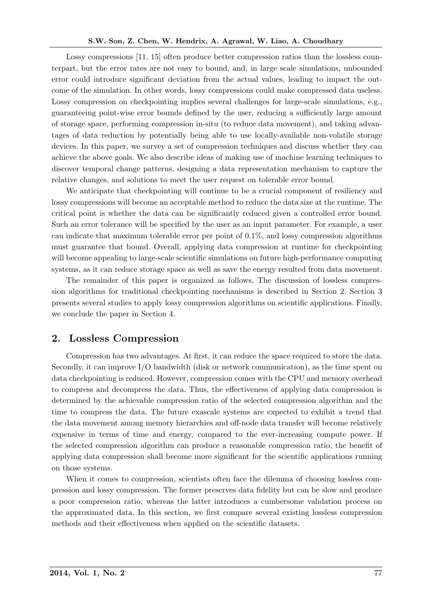Lossy compressions [11, 15] often produce better compression ratios than the lossless counterpart, but the error rates are not easy to bound, and, in large scale simulations, unbounded error could introduce significant deviation from the actual values, leading to impact the outcome of the simulation. In other words, lossy compressions could make compressed data useless. Lossy compression on checkpointing implies several challenges for large-scale simulations, e.g., guaranteeing point-wise error bounds defined by the user, reducing a sufficiently large amount of storage space, performing compression in-situ (to reduce data movement), and taking advantages of data reduction by potentially being able to use locally-available non-volatile storage devices. In this paper, we survey a set of compression techniques and discuss whether they can achieve the above goals. We also describe ideas of making use of machine learning techniques to discover temporal change patterns, designing a data representation mechanism to capture the relative changes, and solutions to meet the user request on tolerable error bound.

We anticipate that checkpointing will continue to be a crucial component of resiliency and lossy compressions will become an acceptable method to reduce the data size at the runtime. The critical point is whether the data can be significantly reduced given a controlled error bound. Such an error tolerance will be specified by the user as an input parameter. For example, a user can indicate that maximum tolerable error per point of 0.1%, and lossy compression algorithms must guarantee that bound. Overall, applying data compression at runtime for checkpointing will become appealing to large-scale scientific simulations on future high-performance computing systems, as it can reduce storage space as well as save the energy resulted from data movement.

The remainder of this paper is organized as follows. The discussion of lossless compression algorithms for traditional checkpointing mechanisms is described in Section 2. Section 3 presents several studies to apply lossy compression algorithms on scientific applications. Finally, we conclude the paper in Section 4.

## 2. Lossless Compression

Compression has two advantages. At first, it can reduce the space required to store the data. Secondly, it can improve I/O bandwidth (disk or network communication), as the time spent on data checkpointing is reduced. However, compression comes with the CPU and memory overhead to compress and decompress the data. Thus, the effectiveness of applying data compression is determined by the achievable compression ratio of the selected compression algorithm and the time to compress the data. The future exascale systems are expected to exhibit a trend that the data movement among memory hierarchies and off-node data transfer will become relatively expensive in terms of time and energy, compared to the ever-increasing compute power. If the selected compression algorithm can produce a reasonable compression ratio, the benefit of applying data compression shall become more significant for the scientific applications running on those systems.

When it comes to compression, scientists often face the dilemma of choosing lossless compression and lossy compression. The former preserves data fidelity but can be slow and produce a poor compression ratio, whereas the latter introduces a cumbersome validation process on the approximated data. In this section, we first compare several existing lossless compression methods and their effectiveness when applied on the scientific datasets.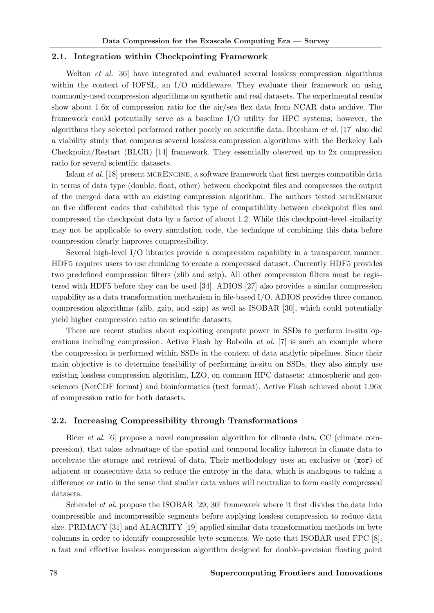#### 2.1. Integration within Checkpointing Framework

Welton *et al.* [36] have integrated and evaluated several lossless compression algorithms within the context of IOFSL, an I/O middleware. They evaluate their framework on using commonly-used compression algorithms on synthetic and real datasets. The experimental results show about 1.6x of compression ratio for the air/sea flex data from NCAR data archive. The framework could potentially serve as a baseline I/O utility for HPC systems; however, the algorithms they selected performed rather poorly on scientific data. Ibtesham et al. [17] also did a viability study that compares several lossless compression algorithms with the Berkeley Lab Checkpoint/Restart (BLCR) [14] framework. They essentially observed up to 2x compression ratio for several scientific datasets.

Islam et al. [18] present mcrEngine, a software framework that first merges compatible data in terms of data type (double, float, other) between checkpoint files and compresses the output of the merged data with an existing compression algorithm. The authors tested mcrEngine on five different codes that exhibited this type of compatibility between checkpoint files and compressed the checkpoint data by a factor of about 1.2. While this checkpoint-level similarity may not be applicable to every simulation code, the technique of combining this data before compression clearly improves compressibility.

Several high-level I/O libraries provide a compression capability in a transparent manner. HDF5 requires users to use chunking to create a compressed dataset. Currently HDF5 provides two predefined compression filters (zlib and szip). All other compression filters must be registered with HDF5 before they can be used [34]. ADIOS [27] also provides a similar compression capability as a data transformation mechanism in file-based I/O. ADIOS provides three common compression algorithms (zlib, gzip, and szip) as well as ISOBAR [30], which could potentially yield higher compression ratio on scientific datasets.

There are recent studies about exploiting compute power in SSDs to perform in-situ operations including compression. Active Flash by Boboila *et al.* [7] is such an example where the compression is performed within SSDs in the context of data analytic pipelines. Since their main objective is to determine feasibility of performing in-situ on SSDs, they also simply use existing lossless compression algorithm, LZO, on common HPC datasets: atmospheric and geosciences (NetCDF format) and bioinformatics (text format). Active Flash achieved about 1.96x of compression ratio for both datasets.

#### 2.2. Increasing Compressibility through Transformations

Bicer et al. [6] propose a novel compression algorithm for climate data, CC (climate compression), that takes advantage of the spatial and temporal locality inherent in climate data to accelerate the storage and retrieval of data. Their methodology uses an exclusive or (xor) of adjacent or consecutive data to reduce the entropy in the data, which is analogous to taking a difference or ratio in the sense that similar data values will neutralize to form easily compressed datasets.

Schendel et al. propose the ISOBAR [29, 30] framework where it first divides the data into compressible and incompressible segments before applying lossless compression to reduce data size. PRIMACY [31] and ALACRITY [19] applied similar data transformation methods on byte columns in order to identify compressible byte segments. We note that ISOBAR used FPC [8], a fast and effective lossless compression algorithm designed for double-precision floating point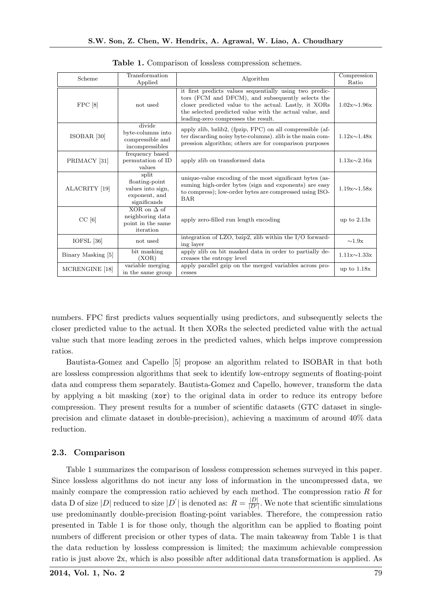| Scheme                  | Transformation<br>Applied                                                     | Algorithm                                                                                                                                                                                                                                                               | Compression<br>Ratio |
|-------------------------|-------------------------------------------------------------------------------|-------------------------------------------------------------------------------------------------------------------------------------------------------------------------------------------------------------------------------------------------------------------------|----------------------|
| FPC[8]                  | not used                                                                      | it first predicts values sequentially using two predic-<br>tors (FCM and DFCM), and subsequently selects the<br>closer predicted value to the actual. Lastly, it XORs<br>the selected predicted value with the actual value, and<br>leading-zero compresses the result. | $1.02x \sim 1.96x$   |
| $ISOBAR$ [30]           | divide<br>byte-columns into<br>compressible and<br>incompressibles            | apply zlib, bzlib2, (fpzip, FPC) on all compressible (af-<br>ter discarding noisy byte-columns). zlib is the main com-<br>pression algorithm; others are for comparison purposes                                                                                        | $1.12x \sim 1.48x$   |
| PRIMACY <sup>[31]</sup> | frequency based<br>permutation of ID<br>values                                | apply zlib on transformed data                                                                                                                                                                                                                                          | $1.13x \sim 2.16x$   |
| ALACRITY [19]           | split<br>floating-point<br>values into sign,<br>exponent, and<br>significands | unique-value encoding of the most significant bytes (as-<br>suming high-order bytes (sign and exponents) are easy<br>to compress); low-order bytes are compressed using ISO-<br>BAR.                                                                                    | $1.19x \sim 1.58x$   |
| CC[6]                   | XOR on $\Delta$ of<br>neighboring data<br>point in the same<br>iteration      | apply zero-filled run length encoding                                                                                                                                                                                                                                   | up to $2.13x$        |
| IOFSL [36]              | not used                                                                      | integration of LZO, bzip2, zlib within the I/O forward-<br>ing layer                                                                                                                                                                                                    | $\sim1.9x$           |
| Binary Masking [5]      | bit masking<br>(XOR)                                                          | apply zlib on bit masked data in order to partially de-<br>creases the entropy level                                                                                                                                                                                    | $1.11x \sim 1.33x$   |
| MCRENGINE [18]          | variable merging<br>in the same group                                         | apply parallel gzip on the merged variables across pro-<br>cesses                                                                                                                                                                                                       | up to $1.18x$        |

Table 1. Comparison of lossless compression schemes.

numbers. FPC first predicts values sequentially using predictors, and subsequently selects the closer predicted value to the actual. It then XORs the selected predicted value with the actual value such that more leading zeroes in the predicted values, which helps improve compression ratios.

Bautista-Gomez and Capello [5] propose an algorithm related to ISOBAR in that both are lossless compression algorithms that seek to identify low-entropy segments of floating-point data and compress them separately. Bautista-Gomez and Capello, however, transform the data by applying a bit masking (xor) to the original data in order to reduce its entropy before compression. They present results for a number of scientific datasets (GTC dataset in singleprecision and climate dataset in double-precision), achieving a maximum of around 40% data reduction.

#### 2.3. Comparison

Table 1 summarizes the comparison of lossless compression schemes surveyed in this paper. Since lossless algorithms do not incur any loss of information in the uncompressed data, we mainly compare the compression ratio achieved by each method. The compression ratio  $R$  for data D of size  $|D|$  reduced to size  $|D'|$  is denoted as:  $R = \frac{|D|}{|D'|}$  $\frac{|D|}{|D'|}$ . We note that scientific simulations use predominantly double-precision floating-point variables. Therefore, the compression ratio presented in Table 1 is for those only, though the algorithm can be applied to floating point numbers of different precision or other types of data. The main takeaway from Table 1 is that the data reduction by lossless compression is limited; the maximum achievable compression ratio is just above 2x, which is also possible after additional data transformation is applied. As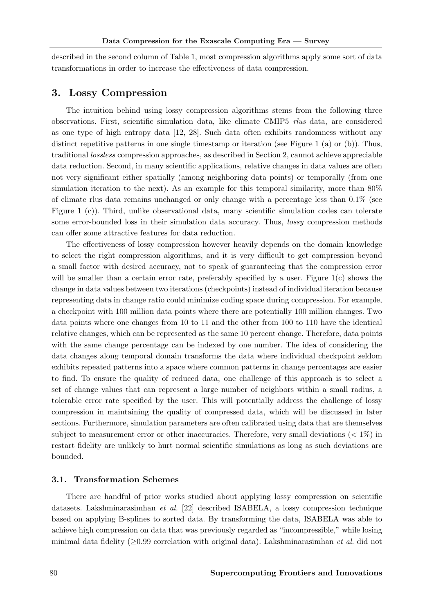described in the second column of Table 1, most compression algorithms apply some sort of data transformations in order to increase the effectiveness of data compression.

## 3. Lossy Compression

The intuition behind using lossy compression algorithms stems from the following three observations. First, scientific simulation data, like climate CMIP5 rlus data, are considered as one type of high entropy data [12, 28]. Such data often exhibits randomness without any distinct repetitive patterns in one single timestamp or iteration (see Figure 1 (a) or (b)). Thus, traditional lossless compression approaches, as described in Section 2, cannot achieve appreciable data reduction. Second, in many scientific applications, relative changes in data values are often not very significant either spatially (among neighboring data points) or temporally (from one simulation iteration to the next). As an example for this temporal similarity, more than  $80\%$ of climate rlus data remains unchanged or only change with a percentage less than  $0.1\%$  (see Figure 1 (c)). Third, unlike observational data, many scientific simulation codes can tolerate some error-bounded loss in their simulation data accuracy. Thus, *lossy* compression methods can offer some attractive features for data reduction.

The effectiveness of lossy compression however heavily depends on the domain knowledge to select the right compression algorithms, and it is very difficult to get compression beyond a small factor with desired accuracy, not to speak of guaranteeing that the compression error will be smaller than a certain error rate, preferably specified by a user. Figure 1(c) shows the change in data values between two iterations (checkpoints) instead of individual iteration because representing data in change ratio could minimize coding space during compression. For example, a checkpoint with 100 million data points where there are potentially 100 million changes. Two data points where one changes from 10 to 11 and the other from 100 to 110 have the identical relative changes, which can be represented as the same 10 percent change. Therefore, data points with the same change percentage can be indexed by one number. The idea of considering the data changes along temporal domain transforms the data where individual checkpoint seldom exhibits repeated patterns into a space where common patterns in change percentages are easier to find. To ensure the quality of reduced data, one challenge of this approach is to select a set of change values that can represent a large number of neighbors within a small radius, a tolerable error rate specified by the user. This will potentially address the challenge of lossy compression in maintaining the quality of compressed data, which will be discussed in later sections. Furthermore, simulation parameters are often calibrated using data that are themselves subject to measurement error or other inaccuracies. Therefore, very small deviations  $(< 1\%)$  in restart fidelity are unlikely to hurt normal scientific simulations as long as such deviations are bounded.

#### 3.1. Transformation Schemes

There are handful of prior works studied about applying lossy compression on scientific datasets. Lakshminarasimhan et al. [22] described ISABELA, a lossy compression technique based on applying B-splines to sorted data. By transforming the data, ISABELA was able to achieve high compression on data that was previously regarded as "incompressible," while losing minimal data fidelity ( $\geq 0.99$  correlation with original data). Lakshminarasimhan *et al.* did not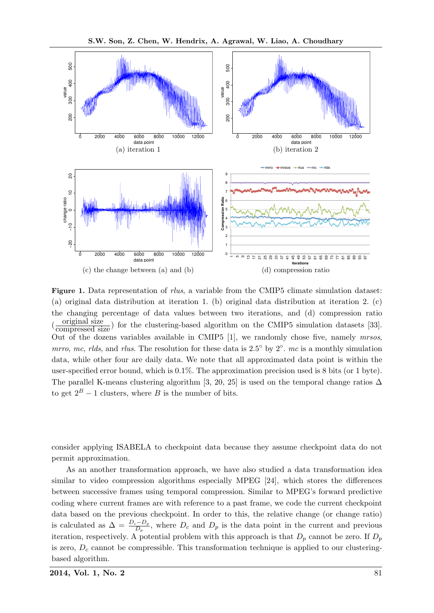

Figure 1. Data representation of *rlus*, a variable from the CMIP5 climate simulation dataset: (a) original data distribution at iteration 1. (b) original data distribution at iteration 2. (c) the changing percentage of data values between two iterations, and (d) compression ratio  $\left(\frac{\text{original size}}{\text{compressed size}}\right)$  for the clustering-based algorithm on the CMIP5 simulation datasets [33]. Out of the dozens variables available in CMIP5 [1], we randomly chose five, namely mrsos, *mrro, mc, rlds,* and *rlus*. The resolution for these data is 2.5° by 2°. *mc* is a monthly simulation data, while other four are daily data. We note that all approximated data point is within the user-specified error bound, which is 0.1%. The approximation precision used is 8 bits (or 1 byte). The parallel K-means clustering algorithm [3, 20, 25] is used on the temporal change ratios  $\Delta$ to get  $2^B - 1$  clusters, where B is the number of bits.

consider applying ISABELA to checkpoint data because they assume checkpoint data do not permit approximation.

As an another transformation approach, we have also studied a data transformation idea similar to video compression algorithms especially MPEG [24], which stores the differences between successive frames using temporal compression. Similar to MPEG's forward predictive coding where current frames are with reference to a past frame, we code the current checkpoint data based on the previous checkpoint. In order to this, the relative change (or change ratio) is calculated as  $\Delta = \frac{D_c - D_p}{D_p}$ , where  $D_c$  and  $D_p$  is the data point in the current and previous iteration, respectively. A potential problem with this approach is that  $D_p$  cannot be zero. If  $D_p$ is zero,  $D<sub>c</sub>$  cannot be compressible. This transformation technique is applied to our clusteringbased algorithm.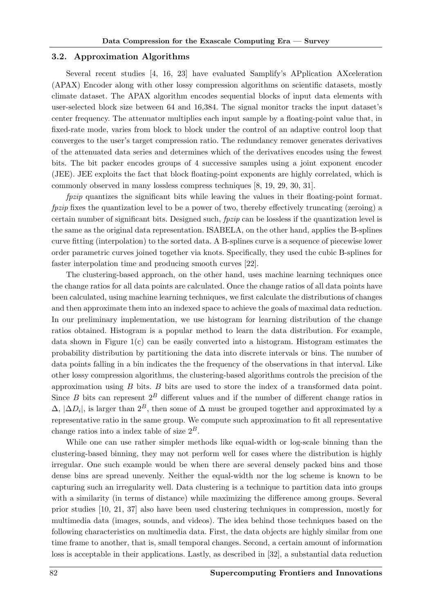#### 3.2. Approximation Algorithms

Several recent studies [4, 16, 23] have evaluated Samplify's APplication AXceleration (APAX) Encoder along with other lossy compression algorithms on scientific datasets, mostly climate dataset. The APAX algorithm encodes sequential blocks of input data elements with user-selected block size between 64 and 16,384. The signal monitor tracks the input dataset's center frequency. The attenuator multiplies each input sample by a floating-point value that, in fixed-rate mode, varies from block to block under the control of an adaptive control loop that converges to the user's target compression ratio. The redundancy remover generates derivatives of the attenuated data series and determines which of the derivatives encodes using the fewest bits. The bit packer encodes groups of 4 successive samples using a joint exponent encoder (JEE). JEE exploits the fact that block floating-point exponents are highly correlated, which is commonly observed in many lossless compress techniques [8, 19, 29, 30, 31].

fpzip quantizes the significant bits while leaving the values in their floating-point format. fizip fixes the quantization level to be a power of two, thereby effectively truncating (zeroing) a certain number of significant bits. Designed such, fpzip can be lossless if the quantization level is the same as the original data representation. ISABELA, on the other hand, applies the B-splines curve fitting (interpolation) to the sorted data. A B-splines curve is a sequence of piecewise lower order parametric curves joined together via knots. Specifically, they used the cubic B-splines for faster interpolation time and producing smooth curves [22].

The clustering-based approach, on the other hand, uses machine learning techniques once the change ratios for all data points are calculated. Once the change ratios of all data points have been calculated, using machine learning techniques, we first calculate the distributions of changes and then approximate them into an indexed space to achieve the goals of maximal data reduction. In our preliminary implementation, we use histogram for learning distribution of the change ratios obtained. Histogram is a popular method to learn the data distribution. For example, data shown in Figure 1(c) can be easily converted into a histogram. Histogram estimates the probability distribution by partitioning the data into discrete intervals or bins. The number of data points falling in a bin indicates the the frequency of the observations in that interval. Like other lossy compression algorithms, the clustering-based algorithms controls the precision of the approximation using  $B$  bits.  $B$  bits are used to store the index of a transformed data point. Since B bits can represent  $2^B$  different values and if the number of different change ratios in  $\Delta$ ,  $|\Delta D_i|$ , is larger than  $2^B$ , then some of  $\Delta$  must be grouped together and approximated by a representative ratio in the same group. We compute such approximation to fit all representative change ratios into a index table of size  $2^B$ .

While one can use rather simpler methods like equal-width or log-scale binning than the clustering-based binning, they may not perform well for cases where the distribution is highly irregular. One such example would be when there are several densely packed bins and those dense bins are spread unevenly. Neither the equal-width nor the log scheme is known to be capturing such an irregularity well. Data clustering is a technique to partition data into groups with a similarity (in terms of distance) while maximizing the difference among groups. Several prior studies [10, 21, 37] also have been used clustering techniques in compression, mostly for multimedia data (images, sounds, and videos). The idea behind those techniques based on the following characteristics on multimedia data. First, the data objects are highly similar from one time frame to another, that is, small temporal changes. Second, a certain amount of information loss is acceptable in their applications. Lastly, as described in [32], a substantial data reduction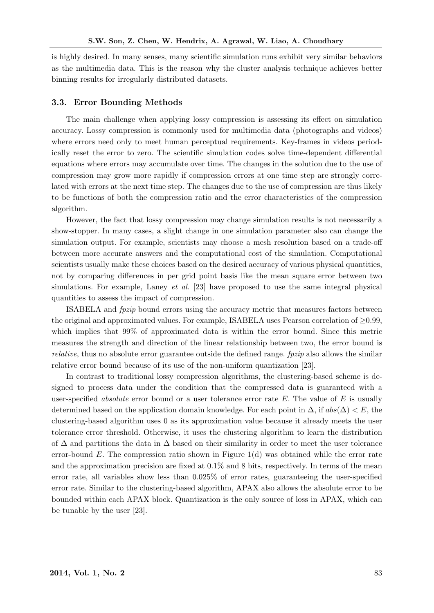is highly desired. In many senses, many scientific simulation runs exhibit very similar behaviors as the multimedia data. This is the reason why the cluster analysis technique achieves better binning results for irregularly distributed datasets.

#### 3.3. Error Bounding Methods

The main challenge when applying lossy compression is assessing its effect on simulation accuracy. Lossy compression is commonly used for multimedia data (photographs and videos) where errors need only to meet human perceptual requirements. Key-frames in videos periodically reset the error to zero. The scientific simulation codes solve time-dependent differential equations where errors may accumulate over time. The changes in the solution due to the use of compression may grow more rapidly if compression errors at one time step are strongly correlated with errors at the next time step. The changes due to the use of compression are thus likely to be functions of both the compression ratio and the error characteristics of the compression algorithm.

However, the fact that lossy compression may change simulation results is not necessarily a show-stopper. In many cases, a slight change in one simulation parameter also can change the simulation output. For example, scientists may choose a mesh resolution based on a trade-off between more accurate answers and the computational cost of the simulation. Computational scientists usually make these choices based on the desired accuracy of various physical quantities, not by comparing differences in per grid point basis like the mean square error between two simulations. For example, Laney et al. [23] have proposed to use the same integral physical quantities to assess the impact of compression.

ISABELA and fpzip bound errors using the accuracy metric that measures factors between the original and approximated values. For example, ISABELA uses Pearson correlation of ≥0.99, which implies that  $99\%$  of approximated data is within the error bound. Since this metric measures the strength and direction of the linear relationship between two, the error bound is relative, thus no absolute error guarantee outside the defined range. fpzip also allows the similar relative error bound because of its use of the non-uniform quantization [23].

In contrast to traditional lossy compression algorithms, the clustering-based scheme is designed to process data under the condition that the compressed data is guaranteed with a user-specified *absolute* error bound or a user tolerance error rate  $E$ . The value of  $E$  is usually determined based on the application domain knowledge. For each point in  $\Delta$ , if  $abs(\Delta) < E$ , the clustering-based algorithm uses 0 as its approximation value because it already meets the user tolerance error threshold. Otherwise, it uses the clustering algorithm to learn the distribution of  $\Delta$  and partitions the data in  $\Delta$  based on their similarity in order to meet the user tolerance error-bound  $E$ . The compression ratio shown in Figure 1(d) was obtained while the error rate and the approximation precision are fixed at 0.1% and 8 bits, respectively. In terms of the mean error rate, all variables show less than 0.025% of error rates, guaranteeing the user-specified error rate. Similar to the clustering-based algorithm, APAX also allows the absolute error to be bounded within each APAX block. Quantization is the only source of loss in APAX, which can be tunable by the user [23].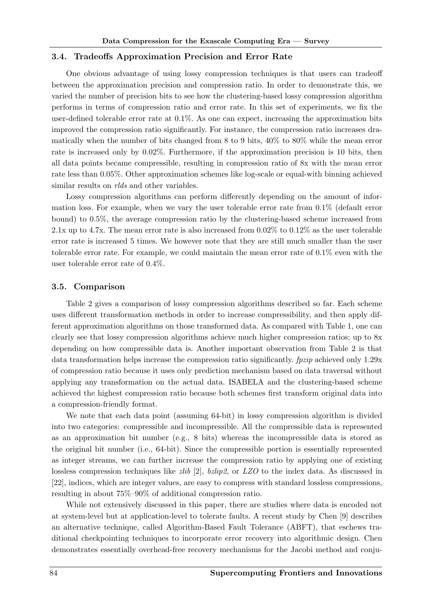#### 3.4. Tradeoffs Approximation Precision and Error Rate

One obvious advantage of using lossy compression techniques is that users can tradeoff between the approximation precision and compression ratio. In order to demonstrate this, we varied the number of precision bits to see how the clustering-based lossy compression algorithm performs in terms of compression ratio and error rate. In this set of experiments, we fix the user-defined tolerable error rate at 0.1%. As one can expect, increasing the approximation bits improved the compression ratio significantly. For instance, the compression ratio increases dramatically when the number of bits changed from 8 to 9 bits, 40% to 80% while the mean error rate is increased only by  $0.02\%$ . Furthermore, if the approximation precision is 10 bits, then all data points became compressible, resulting in compression ratio of 8x with the mean error rate less than 0.05%. Other approximation schemes like log-scale or equal-with binning achieved similar results on *rlds* and other variables.

Lossy compression algorithms can perform differently depending on the amount of information loss. For example, when we vary the user tolerable error rate from 0.1% (default error bound) to 0.5%, the average compression ratio by the clustering-based scheme increased from 2.1x up to 4.7x. The mean error rate is also increased from 0.02% to 0.12% as the user tolerable error rate is increased 5 times. We however note that they are still much smaller than the user tolerable error rate. For example, we could maintain the mean error rate of 0.1% even with the user tolerable error rate of 0.4%.

#### 3.5. Comparison

Table 2 gives a comparison of lossy compression algorithms described so far. Each scheme uses different transformation methods in order to increase compressibility, and then apply different approximation algorithms on those transformed data. As compared with Table 1, one can clearly see that lossy compression algorithms achieve much higher compression ratios; up to 8x depending on how compressible data is. Another important observation from Table 2 is that data transformation helps increase the compression ratio significantly. *fpzip* achieved only 1.29x of compression ratio because it uses only prediction mechanism based on data traversal without applying any transformation on the actual data. ISABELA and the clustering-based scheme achieved the highest compression ratio because both schemes first transform original data into a compression-friendly format.

We note that each data point (assuming 64-bit) in lossy compression algorithm is divided into two categories: compressible and incompressible. All the compressible data is represented as an approximation bit number (e.g., 8 bits) whereas the incompressible data is stored as the original bit number (i.e., 64-bit). Since the compressible portion is essentially represented as integer streams, we can further increase the compression ratio by applying one of existing lossless compression techniques like *zlib* [2],  $bzlip2$ , or LZO to the index data. As discussed in [22], indices, which are integer values, are easy to compress with standard lossless compressions, resulting in about 75%–90% of additional compression ratio.

While not extensively discussed in this paper, there are studies where data is encoded not at system-level but at application-level to tolerate faults. A recent study by Chen [9] describes an alternative technique, called Algorithm-Based Fault Tolerance (ABFT), that eschews traditional checkpointing techniques to incorporate error recovery into algorithmic design. Chen demonstrates essentially overhead-free recovery mechanisms for the Jacobi method and conju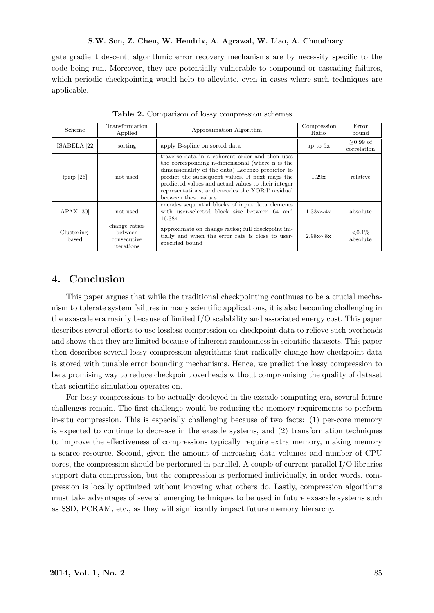gate gradient descent, algorithmic error recovery mechanisms are by necessity specific to the code being run. Moreover, they are potentially vulnerable to compound or cascading failures, which periodic checkpointing would help to alleviate, even in cases where such techniques are applicable.

| Scheme                  | Transformation<br>Applied                             | Approximation Algorithm                                                                                                                                                                                                                                                                                                                      | Compression<br>Ratio | Error<br>bound            |
|-------------------------|-------------------------------------------------------|----------------------------------------------------------------------------------------------------------------------------------------------------------------------------------------------------------------------------------------------------------------------------------------------------------------------------------------------|----------------------|---------------------------|
| ISABELA <sup>[22]</sup> | sorting                                               | apply B-spline on sorted data                                                                                                                                                                                                                                                                                                                | up to $5x$           | $>0.99$ of<br>correlation |
| fpzip $[26]$            | not used                                              | traverse data in a coherent order and then uses<br>the corresponding n-dimensional (where n is the<br>dimensionality of the data) Lorenzo predictor to<br>predict the subsequent values. It next maps the<br>predicted values and actual values to their integer<br>representations, and encodes the XORd' residual<br>between these values. | 1.29x                | relative                  |
| $APAX$ [30]             | not used                                              | encodes sequential blocks of input data elements<br>with user-selected block size between 64 and<br>16,384                                                                                                                                                                                                                                   | $1.33x \sim 4x$      | absolute                  |
| Clustering-<br>based    | change ratios<br>between<br>consecutive<br>iterations | approximate on change ratios; full checkpoint ini-<br>tially and when the error rate is close to user-<br>specified bound                                                                                                                                                                                                                    | $2.98x \sim 8x$      | ${<}0.1\%$<br>absolute    |

Table 2. Comparison of lossy compression schemes.

# 4. Conclusion

This paper argues that while the traditional checkpointing continues to be a crucial mechanism to tolerate system failures in many scientific applications, it is also becoming challenging in the exascale era mainly because of limited I/O scalability and associated energy cost. This paper describes several efforts to use lossless compression on checkpoint data to relieve such overheads and shows that they are limited because of inherent randomness in scientific datasets. This paper then describes several lossy compression algorithms that radically change how checkpoint data is stored with tunable error bounding mechanisms. Hence, we predict the lossy compression to be a promising way to reduce checkpoint overheads without compromising the quality of dataset that scientific simulation operates on.

For lossy compressions to be actually deployed in the exscale computing era, several future challenges remain. The first challenge would be reducing the memory requirements to perform in-situ compression. This is especially challenging because of two facts: (1) per-core memory is expected to continue to decrease in the exascle systems, and (2) transformation techniques to improve the effectiveness of compressions typically require extra memory, making memory a scarce resource. Second, given the amount of increasing data volumes and number of CPU cores, the compression should be performed in parallel. A couple of current parallel I/O libraries support data compression, but the compression is performed individually, in order words, compression is locally optimized without knowing what others do. Lastly, compression algorithms must take advantages of several emerging techniques to be used in future exascale systems such as SSD, PCRAM, etc., as they will significantly impact future memory hierarchy.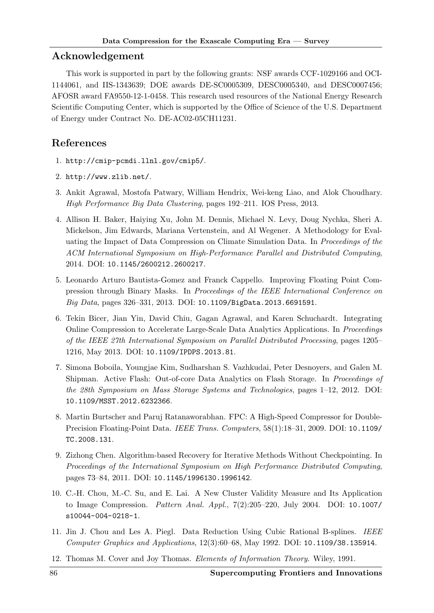## Acknowledgement

This work is supported in part by the following grants: NSF awards CCF-1029166 and OCI-1144061, and IIS-1343639; DOE awards DE-SC0005309, DESC0005340, and DESC0007456; AFOSR award FA9550-12-1-0458. This research used resources of the National Energy Research Scientific Computing Center, which is supported by the Office of Science of the U.S. Department of Energy under Contract No. DE-AC02-05CH11231.

# References

- 1. http://cmip-pcmdi.llnl.gov/cmip5/.
- 2. http://www.zlib.net/.
- 3. Ankit Agrawal, Mostofa Patwary, William Hendrix, Wei-keng Liao, and Alok Choudhary. High Performance Big Data Clustering, pages 192–211. IOS Press, 2013.
- 4. Allison H. Baker, Haiying Xu, John M. Dennis, Michael N. Levy, Doug Nychka, Sheri A. Mickelson, Jim Edwards, Mariana Vertenstein, and Al Wegener. A Methodology for Evaluating the Impact of Data Compression on Climate Simulation Data. In Proceedings of the ACM International Symposium on High-Performance Parallel and Distributed Computing, 2014. DOI: 10.1145/2600212.2600217.
- 5. Leonardo Arturo Bautista-Gomez and Franck Cappello. Improving Floating Point Compression through Binary Masks. In Proceedings of the IEEE International Conference on Big Data, pages 326–331, 2013. DOI: 10.1109/BigData.2013.6691591.
- 6. Tekin Bicer, Jian Yin, David Chiu, Gagan Agrawal, and Karen Schuchardt. Integrating Online Compression to Accelerate Large-Scale Data Analytics Applications. In Proceedings of the IEEE 27th International Symposium on Parallel Distributed Processing, pages 1205– 1216, May 2013. DOI: 10.1109/IPDPS.2013.81.
- 7. Simona Boboila, Youngjae Kim, Sudharshan S. Vazhkudai, Peter Desnoyers, and Galen M. Shipman. Active Flash: Out-of-core Data Analytics on Flash Storage. In Proceedings of the 28th Symposium on Mass Storage Systems and Technologies, pages 1–12, 2012. DOI: 10.1109/MSST.2012.6232366.
- 8. Martin Burtscher and Paruj Ratanaworabhan. FPC: A High-Speed Compressor for Double-Precision Floating-Point Data. IEEE Trans. Computers, 58(1):18–31, 2009. DOI: 10.1109/ TC.2008.131.
- 9. Zizhong Chen. Algorithm-based Recovery for Iterative Methods Without Checkpointing. In Proceedings of the International Symposium on High Performance Distributed Computing, pages 73–84, 2011. DOI: 10.1145/1996130.1996142.
- 10. C.-H. Chou, M.-C. Su, and E. Lai. A New Cluster Validity Measure and Its Application to Image Compression. Pattern Anal. Appl., 7(2):205–220, July 2004. DOI: 10.1007/ s10044-004-0218-1.
- 11. Jin J. Chou and Les A. Piegl. Data Reduction Using Cubic Rational B-splines. IEEE Computer Graphics and Applications, 12(3):60–68, May 1992. DOI: 10.1109/38.135914.
- 12. Thomas M. Cover and Joy Thomas. Elements of Information Theory. Wiley, 1991.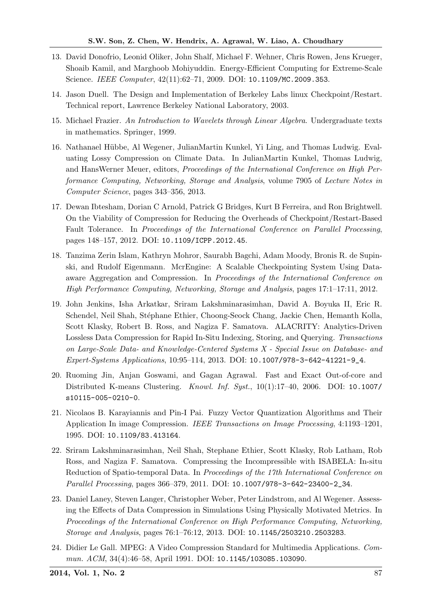- 13. David Donofrio, Leonid Oliker, John Shalf, Michael F. Wehner, Chris Rowen, Jens Krueger, Shoaib Kamil, and Marghoob Mohiyuddin. Energy-Efficient Computing for Extreme-Scale Science. IEEE Computer, 42(11):62–71, 2009. DOI: 10.1109/MC.2009.353.
- 14. Jason Duell. The Design and Implementation of Berkeley Labs linux Checkpoint/Restart. Technical report, Lawrence Berkeley National Laboratory, 2003.
- 15. Michael Frazier. An Introduction to Wavelets through Linear Algebra. Undergraduate texts in mathematics. Springer, 1999.
- 16. Nathanael Hübbe, Al Wegener, JulianMartin Kunkel, Yi Ling, and Thomas Ludwig. Evaluating Lossy Compression on Climate Data. In JulianMartin Kunkel, Thomas Ludwig, and HansWerner Meuer, editors, *Proceedings of the International Conference on High Per*formance Computing, Networking, Storage and Analysis, volume 7905 of Lecture Notes in Computer Science, pages 343–356, 2013.
- 17. Dewan Ibtesham, Dorian C Arnold, Patrick G Bridges, Kurt B Ferreira, and Ron Brightwell. On the Viability of Compression for Reducing the Overheads of Checkpoint/Restart-Based Fault Tolerance. In Proceedings of the International Conference on Parallel Processing, pages 148–157, 2012. DOI: 10.1109/ICPP.2012.45.
- 18. Tanzima Zerin Islam, Kathryn Mohror, Saurabh Bagchi, Adam Moody, Bronis R. de Supinski, and Rudolf Eigenmann. McrEngine: A Scalable Checkpointing System Using Dataaware Aggregation and Compression. In Proceedings of the International Conference on High Performance Computing, Networking, Storage and Analysis, pages 17:1–17:11, 2012.
- 19. John Jenkins, Isha Arkatkar, Sriram Lakshminarasimhan, David A. Boyuka II, Eric R. Schendel, Neil Shah, Stéphane Ethier, Choong-Seock Chang, Jackie Chen, Hemanth Kolla, Scott Klasky, Robert B. Ross, and Nagiza F. Samatova. ALACRITY: Analytics-Driven Lossless Data Compression for Rapid In-Situ Indexing, Storing, and Querying. Transactions on Large-Scale Data- and Knowledge-Centered Systems X - Special Issue on Database- and Expert-Systems Applications, 10:95–114, 2013. DOI: 10.1007/978-3-642-41221-9\_4.
- 20. Ruoming Jin, Anjan Goswami, and Gagan Agrawal. Fast and Exact Out-of-core and Distributed K-means Clustering. Knowl. Inf. Syst., 10(1):17–40, 2006. DOI: 10.1007/ s10115-005-0210-0.
- 21. Nicolaos B. Karayiannis and Pin-I Pai. Fuzzy Vector Quantization Algorithms and Their Application In image Compression. IEEE Transactions on Image Processing, 4:1193–1201, 1995. DOI: 10.1109/83.413164.
- 22. Sriram Lakshminarasimhan, Neil Shah, Stephane Ethier, Scott Klasky, Rob Latham, Rob Ross, and Nagiza F. Samatova. Compressing the Incompressible with ISABELA: In-situ Reduction of Spatio-temporal Data. In Proceedings of the 17th International Conference on Parallel Processing, pages 366–379, 2011. DOI: 10.1007/978-3-642-23400-2\_34.
- 23. Daniel Laney, Steven Langer, Christopher Weber, Peter Lindstrom, and Al Wegener. Assessing the Effects of Data Compression in Simulations Using Physically Motivated Metrics. In Proceedings of the International Conference on High Performance Computing, Networking, Storage and Analysis, pages 76:1–76:12, 2013. DOI: 10.1145/2503210.2503283.
- 24. Didier Le Gall. MPEG: A Video Compression Standard for Multimedia Applications. Commun.  $ACM$ , 34(4):46–58, April 1991. DOI: 10.1145/103085.103090.